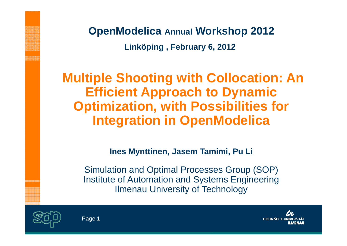**OpenModelica Annual Workshop 2012 Linköping , February 6, 2012**

**Multiple Shooting with Collocation: An Efficient Approach to Dynamic Optimization, with Possibilities for Integration in OpenModelica**

**Ines Mynttinen Mynttinen, Jasem Tamimi, Pu Li**

Simulation and Optimal Processes Group (SOP) Institute of Automation and Systems Engineering Ilmenau University of Technology



nannna<br>Bileanai

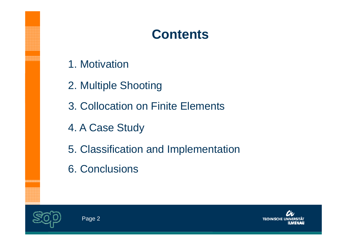# **Contents**

- 1. Motivation
- 2. Multiple Shooting
- 3. Collocation on Finite Elements
- 4. A Case Study
- 5. Classification and Implementation
- 6. Conclusions



endri

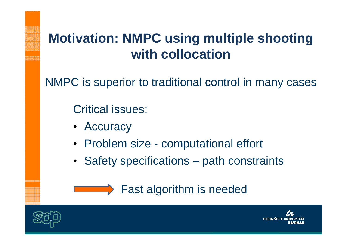# **Motivation: NMPC using multiple shooting with collocation**

NMPC is superior to traditional control in many cases

Critical issues:

- Accuracy
- Problem size computational effort
- Safety specifications path constraints





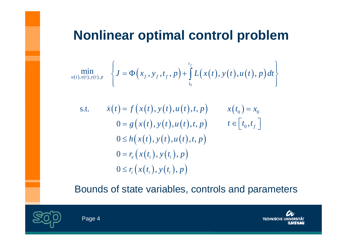### **Nonlinear optimal control problem**

$$
\min_{u(t),x(t),y(t),p} \left\{ J = \Phi\big(x_f, y_f, t_f, p\big) + \int_{t_0}^{t_f} L\big(x(t), y(t), u(t), p\big) dt \right\}
$$

s.t. 
$$
\dot{x}(t) = f(x(t), y(t), u(t), t, p) \qquad x(t_0) = x_0
$$

$$
0 = g(x(t), y(t), u(t), t, p) \qquad t \in [t_0, t_f]
$$

$$
0 \le h(x(t), y(t), u(t), t, p)
$$

$$
0 = r_e(x(t_i), y(t_i), p)
$$

$$
0 \le r_i(x(t_i), y(t_i), p)
$$

Bounds of state variables, controls and parameters



endode<br>Condige<br>Condige

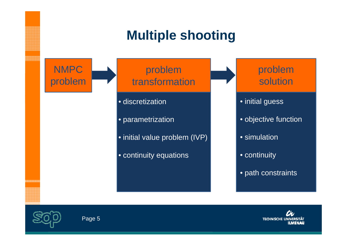# **Multiple shooting**



problem transformation

- discretization
- parametrization
- $\bullet$  initial value problem (IVP)  $\|$   $\bullet$  simulation
- continuity equations **•** continuity



- initial guess
- objective function
- 
- 
- path constraints



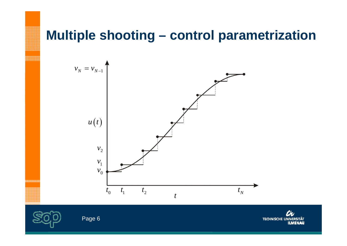#### **Multiple shooting – control parametrization**





Page 6

**TECHNISCHE UNIVERSITÄT ILMENAU**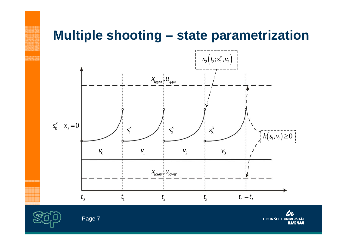#### **Multiple shooting – state parametrization**



en en men en en<br>Første forste forskel<br>Første forste forskel

th: **TECHNISCHE UNIVERSITÄT ILMENAU**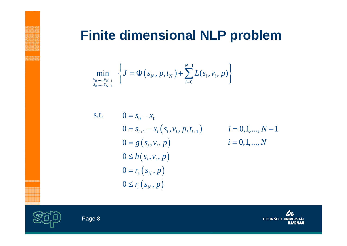### **Finite dimensional NLP problem**

$$
\min_{\substack{\nu_0,\dots,\nu_{N-1}\\s_0,\dots,s_{N-1}}}\left\{J=\Phi\big(s_N,p,t_N\big)+\sum_{i=0}^{N-1}L(s_i,\nu_i,p)\right\}
$$

s.t. 
$$
0 = s_0 - x_0
$$
  
\n
$$
0 = s_{i+1} - x_i (s_i, v_i, p, t_{i+1})
$$
  
\n
$$
i = 0, 1, ..., N - 1
$$
  
\n
$$
0 = g (s_i, v_i, p)
$$
  
\n
$$
i = 0, 1, ..., N - 1
$$
  
\n
$$
i = 0, 1, ..., N - 1
$$
  
\n
$$
i = 0, 1, ..., N - 1
$$
  
\n
$$
0 \le h (s_i, v_i, p)
$$
  
\n
$$
0 = r_e (s_N, p)
$$
  
\n
$$
0 \le r_i (s_N, p)
$$





**第2章 第2章 第2章 第2章**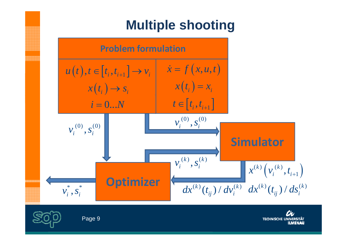# **Multiple shooting**



th. **TECHNISCHE UNIVERSITÄT ILMENAU**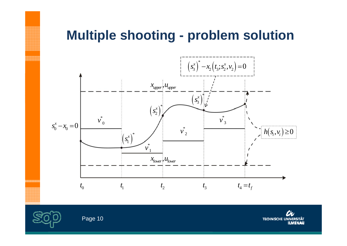#### **Multiple shooting - problem solution**





th. **TECHNISCHE UNIVERSITÄT ILMENAU**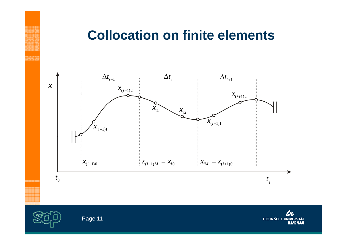#### **Collocation on finite elements**





Page 11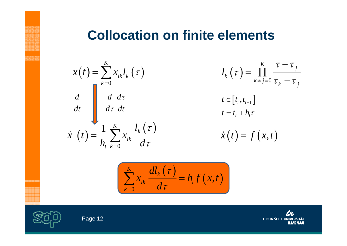#### **Collocation on finite elements**

$$
x(t) = \sum_{k=0}^{K} x_{ik} l_k(\tau)
$$

$$
\frac{d}{dt} \int \frac{d}{d\tau} \frac{d\tau}{dt}
$$

$$
\dot{x}(t) = \frac{1}{h_i} \sum_{k=0}^{K} x_{ik} \frac{l_k(\tau)}{d\tau}
$$

$$
l_k(\tau) = \prod_{k \neq j=0}^K \frac{\tau - \tau_j}{\tau_k - \tau_j}
$$
  
\n
$$
t \in [t_i, t_{i+1}]
$$
  
\n
$$
t = t_i + h_i \tau
$$
  
\n
$$
\dot{x}(t) = f(x, t)
$$

$$
\sum_{k=0}^{K} x_{ik} \frac{dl_k(\tau)}{d\tau} = h_i f(x, t)
$$



ananana<br>Hannaa

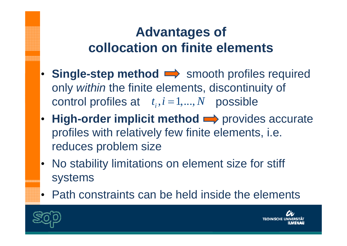# **Advantages of collocation on finite elements**

- Single-step method  $\implies$  smooth profiles required only *within* the finite elements, discontinuity of control profiles at  $t_i$ ,  $i = 1,..., N$  possible
- High-order implicit method  $\implies$  provides accurate profiles with relatively few finite elements, i.e. reduces problem size
- No stability limitations on element size for stiff systems
- Path constraints can be held inside the elements



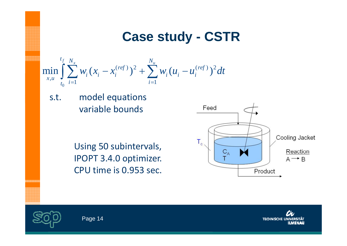### **Case study - CSTR**

$$
\min_{x,u} \int_{t_0}^{t_f} \sum_{i=1}^{N_x} w_i (x_i - x_i^{(ref)})^2 + \sum_{i=1}^{N_u} w_i (u_i - u_i^{(ref)})^2 dt
$$

s.t.. model equations variable bounds

> Using 50 subintervals, IPOPT 3.4.0 optimizer. CPU time is 0.953 sec.





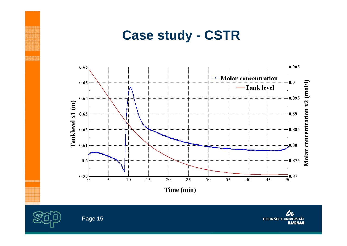#### **Case study - CSTR**





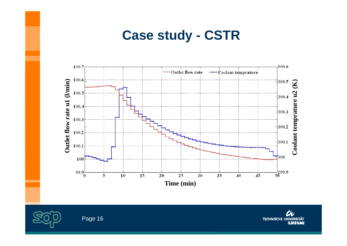#### **Case study - CSTR**





Page 16

th. **TECHNISCHE UNIVERSITÄT ILMENAU**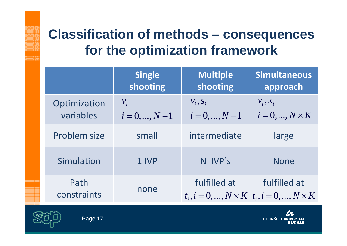# **Classification of methods – consequences for the optimization framework**

|  |                           | <b>Single</b><br>shooting           | <b>Multiple</b><br>shooting    | <b>Simultaneous</b><br>approach                                       |
|--|---------------------------|-------------------------------------|--------------------------------|-----------------------------------------------------------------------|
|  | Optimization<br>variables | $\mathcal{V}_i$<br>$i = 0, , N - 1$ | $V_i, S_i$<br>$i = 0, , N - 1$ | $V_i, X_i$<br>$i=0,,N\times K$                                        |
|  | Problem size              | small                               | intermediate                   | large                                                                 |
|  | Simulation                | 1 IVP                               | N IVP's                        | <b>None</b>                                                           |
|  | Path<br>constraints       | none                                | fulfilled at                   | fulfilled at<br>$t_i, i = 0, , N \times K$ $t_i, i = 0, , N \times K$ |



...<br>이 100 00 00 00 00 00<br>30 00 00 00 00 00 00

Here

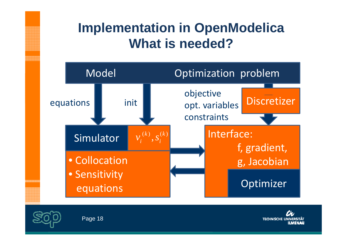# **Implementation in OpenModelica Wh t ais need ded?**





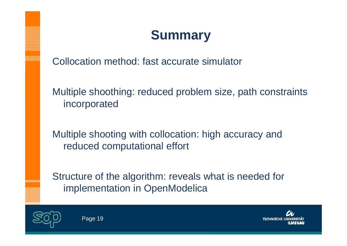# **Summary**

Collocation method: fast accurate simulator

Multiple shoothing: reduced problem size, path constraints incorporated

Multiple shooting with collocation: high accuracy and reduced computational effort

Structure of the algorithm: reveals what is needed for implementation in OpenModelica



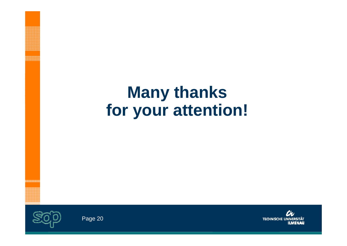# **Many thanks for your attention!**



nnongan<br>Manggung<br>Manggung